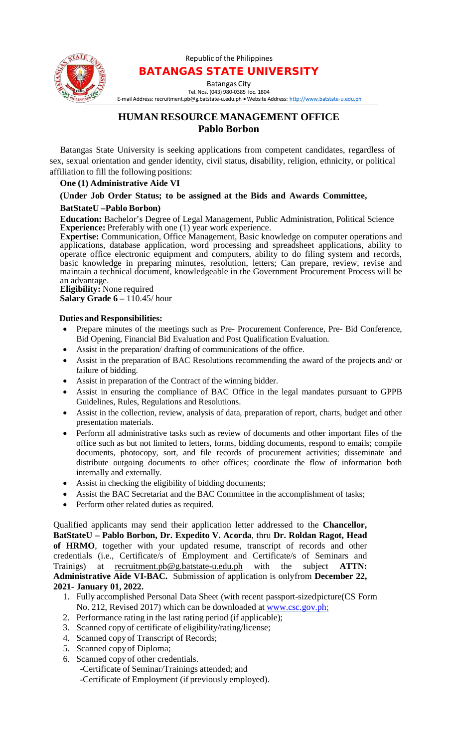

#### Republic of the Philippines BATANGAS STATE UNIVERSITY

Batangas City Tel.Nos. (043) 980-0385 loc. 1804

E-mail Address: [recruitment.pb@g.batstate-u.edu.ph](mailto:recruitment.pb@g.batstate-u.edu.ph) • Website Address: [http://www.batstate-u.edu.ph](http://www.batstate-u.edu.ph/)

# **HUMAN RESOURCE MANAGEMENT OFFICE Pablo Borbon**

Batangas State University is seeking applications from competent candidates, regardless of sex, sexual orientation and gender identity, civil status, disability, religion, ethnicity, or political affiliation to fill the following positions:

#### **One (1) Administrative Aide VI**

## **(Under Job Order Status; to be assigned at the Bids and Awards Committee,**

## **BatStateU –Pablo Borbon)**

**Education:** Bachelor's Degree of Legal Management, Public Administration, Political Science **Experience:** Preferably with one (1) year work experience.

**Expertise:** Communication, Office Management, Basic knowledge on computer operations and applications, database application, word processing and spreadsheet applications, ability to operate office electronic equipment and computers, ability to do filing system and records, basic knowledge in preparing minutes, resolution, letters; Can prepare, review, revise and maintain a technical document, knowledgeable in the Government Procurement Process will be an advantage.

**Eligibility:** None required **Salary Grade 6 –** 110.45/ hour

## **Duties and Responsibilities:**

- Prepare minutes of the meetings such as Pre- Procurement Conference, Pre- Bid Conference, Bid Opening, Financial Bid Evaluation and Post Qualification Evaluation.
- Assist in the preparation/ drafting of communications of the office.
- Assist in the preparation of BAC Resolutions recommending the award of the projects and/ or failure of bidding.
- Assist in preparation of the Contract of the winning bidder.
- Assist in ensuring the compliance of BAC Office in the legal mandates pursuant to GPPB Guidelines, Rules, Regulations and Resolutions.
- Assist in the collection, review, analysis of data, preparation of report, charts, budget and other presentation materials.
- Perform all administrative tasks such as review of documents and other important files of the office such as but not limited to letters, forms, bidding documents, respond to emails; compile documents, photocopy, sort, and file records of procurement activities; disseminate and distribute outgoing documents to other offices; coordinate the flow of information both internally and externally.
- Assist in checking the eligibility of bidding documents;
- Assist the BAC Secretariat and the BAC Committee in the accomplishment of tasks;
- Perform other related duties as required.

Qualified applicants may send their application letter addressed to the **Chancellor, BatStateU – Pablo Borbon, Dr. Expedito V. Acorda**, thru **Dr. Roldan Ragot, Head of HRMO**, together with your updated resume, transcript of records and other credentials (i.e., Certificate/s of Employment and Certificate/s of Seminars and Trainigs) at recruitment.pb@g.batstate-u.edu.ph with the subject **ATTN: Administrative Aide VI-BAC.** Submission of application is onlyfrom **December 22, 2021- January 01, 2022.**

- 1. Fully accomplished Personal Data Sheet (with recent passport-sizedpicture(CS Form No. 212, Revised 2017) which can be downloaded at [www.csc.gov.ph;](http://www.csc.gov.ph/)
- 2. Performance rating in the last rating period (if applicable);
- 3. Scanned copy of certificate of eligibility/rating/license;
- 4. Scanned copy of Transcript of Records;
- 5. Scanned copy of Diploma;
- 6. Scanned copy of other credentials.
	- -Certificate of Seminar/Trainings attended; and
	- -Certificate of Employment (if previously employed).